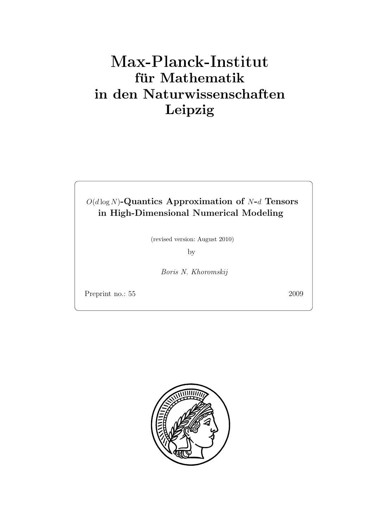# Max-Plan
k-Institut für Mathematik in den Naturwissenschaften Leipzig

## $O(d \log N)$ -Quantics Approximation of N-d Tensors in High-Dimensional Numerical Modeling

(revised version: August 2010)

by

Boris N. Khoromskij

Preprint no.: 55 2009

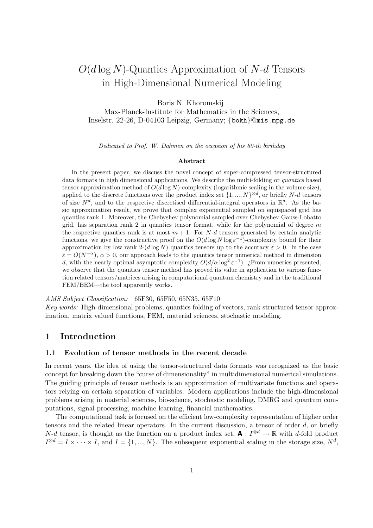## $O(d \log N)$ -Quantics Approximation of N-d Tensors in High-Dimensional Numerical Modeling

Boris N. Khoromskij

Max-Planck-Institute for Mathematics in the Sciences, Inselstr. 22-26, D-04103 Leipzig, Germany; {bokh}@mis.mpg.de

Dedicated to Prof. W. Dahmen on the occasion of his 60-th birthday

#### Abstract

In the present paper, we discuss the novel concept of super-compressed tensor-structured data formats in high dimensional applications. We describe the multi-folding or quantics based tensor approximation method of  $O(d \log N)$ -complexity (logarithmic scaling in the volume size), applied to the discrete functions over the product index set  $\{1, ..., N\}^{\otimes d}$ , or briefly N-d tensors of size  $N^d$ , and to the respective discretised differential-integral operators in  $\mathbb{R}^d$ . As the basic approximation result, we prove that complex exponential sampled on equispaced grid has quantics rank 1. Moreover, the Chebyshev polynomial sampled over Chebyshev Gauss-Lobatto grid, has separation rank 2 in quantics tensor format, while for the polynomial of degree  $m$ the respective quantics rank is at most  $m + 1$ . For N-d tensors generated by certain analytic functions, we give the constructive proof on the  $O(d \log N \log \epsilon^{-1})$ -complexity bound for their approximation by low rank 2-(d log N) quantics tensors up to the accuracy  $\varepsilon > 0$ . In the case  $\varepsilon = O(N^{-\alpha})$ ,  $\alpha > 0$ , our approach leads to the quantics tensor numerical method in dimension d, with the nearly optimal asymptotic complexity  $O(d/\alpha \log^2 \varepsilon^{-1})$ . ¿From numerics presented, we observe that the quantics tensor method has proved its value in application to various function related tensors/matrices arising in computational quantum chemistry and in the traditional FEM/BEM—the tool apparently works.

AMS Subject Classification: 65F30, 65F50, 65N35, 65F10

Key words: High-dimensional problems, quantics folding of vectors, rank structured tensor approximation, matrix valued functions, FEM, material sciences, stochastic modeling.

## 1 Introduction

#### 1.1 Evolution of tensor methods in the recent decade

In recent years, the idea of using the tensor-structured data formats was recognized as the basic concept for breaking down the "curse of dimensionality" in multidimensional numerical simulations. The guiding principle of tensor methods is an approximation of multivariate functions and operators relying on certain separation of variables. Modern applications include the high-dimensional problems arising in material sciences, bio-science, stochastic modeling, DMRG and quantum computations, signal processing, machine learning, financial mathematics.

The computational task is focused on the efficient low-complexity representation of higher order tensors and the related linear operators. In the current discussion, a tensor of order d, or briefly  $N-d$  tensor, is thought as the function on a product index set,  $\mathbf{A}: I^{\otimes d} \to \mathbb{R}$  with d-fold product  $I^{\otimes d} = I \times \cdots \times I$ , and  $I = \{1, ..., N\}$ . The subsequent exponential scaling in the storage size,  $N^d$ ,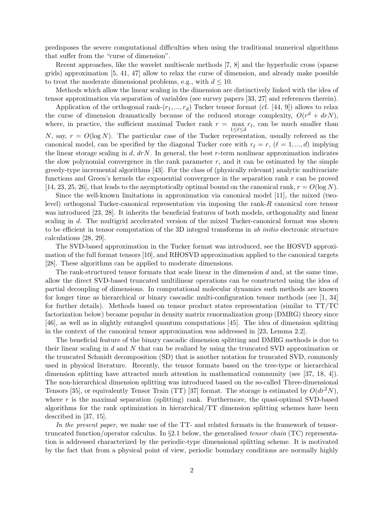predisposes the severe computational difficulties when using the traditional numerical algorithms that suffer from the "curse of dimension".

Recent approaches, like the wavelet multiscale methods [7, 8] and the hyperbolic cross (sparse grids) approximation [5, 41, 47] allow to relax the curse of dimension, and already make possible to treat the moderate dimensional problems, e.g., with  $d \leq 10$ .

Methods which allow the linear scaling in the dimension are distinctively linked with the idea of tensor approximation via separation of variables (see survey papers [33, 27] and references therein).

Application of the orthogonal rank- $(r_1, ..., r_d)$  Tucker tensor format (cf. [44, 9]) allows to relax the curse of dimension dramatically because of the reduced storage complexity,  $O(r^d + drN)$ , where, in practice, the sufficient maximal Tucker rank  $r = \max_{1 \leq \ell \leq l} r_{\ell}$ , can be much smaller than 1≤ℓ≤d N, say,  $r = O(\log N)$ . The particular case of the Tucker representation, usually refereed as the canonical model, can be specified by the diagonal Tucker core with  $r_{\ell} = r$ ,  $(\ell = 1, ..., d)$  implying the linear storage scaling in d,  $drN$ . In general, the best r-term nonlinear approximation indicates the slow polynomial convergence in the rank parameter  $r$ , and it can be estimated by the simple greedy-type incremental algorithms [43]. For the class of (physically relevant) analytic multivariate functions and Green's kernels the exponential convergence in the separation rank r can be proved [14, 23, 25, 26], that leads to the asymptotically optimal bound on the canonical rank,  $r = O(\log N)$ .

Since the well-known limitations in approximation via canonical model [11], the mixed (twolevel) orthogonal Tucker-canonical representation via imposing the rank-R canonical core tensor was introduced [23, 28]. It inherits the beneficial features of both models, orthogonality and linear scaling in d. The multigrid accelerated version of the mixed Tucker-canonical format was shown to be efficient in tensor computation of the 3D integral transforms in ab initio electronic structure calculations [28, 29].

The SVD-based approximation in the Tucker format was introduced, see the HOSVD approximation of the full format tensors [10], and RHOSVD approximation applied to the canonical targets [28]. These algorithms can be applied to moderate dimensions.

The rank-structured tensor formats that scale linear in the dimension  $d$  and, at the same time, allow the direct SVD-based truncated multilinear operations can be constructed using the idea of partial decoupling of dimensions. In computational molecular dynamics such methods are known for longer time as hierarchical or binary cascadic multi-configuration tensor methods (see [1, 34] for further details). Methods based on tensor product states representation (similar to TT/TC factorization below) became popular in density matrix renormalization group (DMRG) theory since [46], as well as in slightly entangled quantum computations [45]. The idea of dimension splitting in the context of the canonical tensor approximation was addressed in [23, Lemma 2.2].

The beneficial feature of the binary cascadic dimension splitting and DMRG methods is due to their linear scaling in d and N that can be realized by using the truncated SVD approximation or the truncated Schmidt decomposition (SD) that is another notation for truncated SVD, commonly used in physical literature. Recently, the tensor formats based on the tree-type or hierarchical dimension splitting have attracted much attention in mathematical community (see [37, 18, 4]). The non-hierarchical dimension splitting was introduced based on the so-called Three-dimensional Tensors [35], or equivalently Tensor Train (TT) [37] format. The storage is estimated by  $O(dr^2N)$ , where  $r$  is the maximal separation (splitting) rank. Furthermore, the quasi-optimal SVD-based algorithms for the rank optimization in hierarchical/TT dimension splitting schemes have been described in [37, 15].

In the present paper, we make use of the TT- and related formats in the framework of tensortruncated function/operator calculus. In §2.1 below, the generalised tensor chain (TC) representation is addressed characterized by the periodic-type dimensional splitting scheme. It is motivated by the fact that from a physical point of view, periodic boundary conditions are normally highly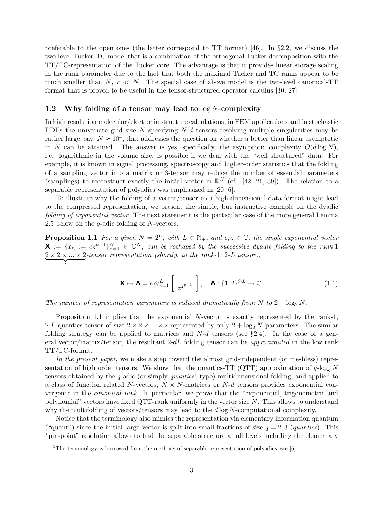preferable to the open ones (the latter correspond to TT format) [46]. In §2.2, we discuss the two-level Tucker-TC model that is a combination of the orthogonal Tucker decomposition with the TT/TC-representation of the Tucker core. The advantage is that it provides linear storage scaling in the rank parameter due to the fact that both the maximal Tucker and TC ranks appear to be much smaller than  $N, r \ll N$ . The special case of above model is the two-level canonical-TT format that is proved to be useful in the tensor-structured operator calculus [30, 27].

#### 1.2 Why folding of a tensor may lead to  $\log N$ -complexity

In high resolution molecular/electronic structure calculations, in FEM applications and in stochastic PDEs the univariate grid size  $N$  specifying  $N-d$  tensors resolving multiple singularities may be rather large, say,  $N \approx 10^4$ , that addresses the question on whether a better than linear asymptotic in N can be attained. The answer is yes, specifically, the asymptotic complexity  $O(d \log N)$ , i.e. logarithmic in the volume size, is possible if we deal with the "well structured" data. For example, it is known in signal processing, spectroscopy and higher-order statistics that the folding of a sampling vector into a matrix or 3-tensor may reduce the number of essential parameters (samplings) to reconstruct exactly the initial vector in  $\mathbb{R}^N$  (cf. [42, 21, 39]). The relation to a separable representation of polyadics was emphasized in [20, 6].

To illustrate why the folding of a vector/tensor to a high-dimensional data format might lead to the compressed representation, we present the simple, but instructive example on the dyadic folding of exponential vector. The next statement is the particular case of the more general Lemma 2.5 below on the q-adic folding of N-vectors.

**Proposition 1.1** For a given  $N = 2^L$ , with  $L \in \mathbb{N}_+$ , and  $c, z \in \mathbb{C}$ , the single exponential vector  $\mathbf{X} := \{x_n := c z^{n-1}\}_{n=1}^N \in \mathbb{C}^N$ , can be reshaped by the successive dyadic folding to the rank-1  $2 \times 2 \times ... \times 2$  $\overbrace{L}$ -tensor representation (shortly, to the rank-1, 2-L tensor),

$$
\mathbf{X} \mapsto \mathbf{A} = c \otimes_{p=1}^{L} \left[ \begin{array}{c} 1 \\ z^{2^{p-1}} \end{array} \right], \quad \mathbf{A} : \{1, 2\}^{\otimes L} \to \mathbb{C}.
$$
 (1.1)

The number of representation parameters is reduced dramatically from N to  $2 + \log_2 N$ .

Proposition 1.1 implies that the exponential N-vector is exactly represented by the rank-1, 2-L quantics tensor of size  $2 \times 2 \times ... \times 2$  represented by only  $2 + \log_2 N$  parameters. The similar folding strategy can be applied to matrices and  $N-d$  tensors (see §2.4). In the case of a general vector/matrix/tensor, the resultant  $2-dL$  folding tensor can be *approximated* in the low rank TT/TC-format.

In the present paper, we make a step toward the almost grid-independent (or meshless) representation of high order tensors. We show that the quantics-TT (QTT) approximation of  $q$ -log<sub>a</sub> N tensors obtained by the *q*-adic (or simply *quantics*<sup>1</sup> type) multidimensional folding, and applied to a class of function related N-vectors,  $N \times N$ -matrices or N-d tensors provides exponential convergence in the canonical rank. In particular, we prove that the "exponential, trigonometric and polynomial" vectors have fixed QTT-rank uniformly in the vector size N. This allows to understand why the multifolding of vectors/tensors may lead to the  $d \log N$ -computational complexity.

Notice that the terminology also mimics the representation via elementary information quantum ("quant") since the initial large vector is split into small fractions of size  $q = 2, 3$  (quantics). This "pin-point" resolution allows to find the separable structure at all levels including the elementary

<sup>&</sup>lt;sup>1</sup>The terminology is borrowed from the methods of separable representation of polyadics, see [6].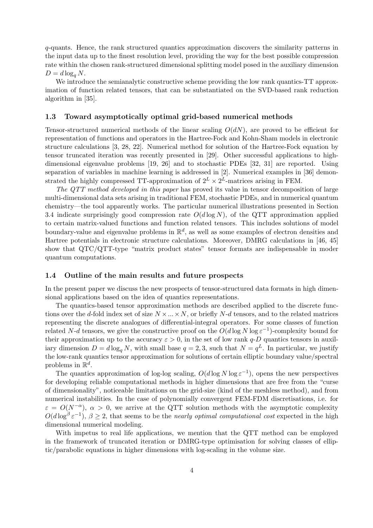q-quants. Hence, the rank structured quantics approximation discovers the similarity patterns in the input data up to the finest resolution level, providing the way for the best possible compression rate within the chosen rank-structured dimensional splitting model posed in the auxiliary dimension  $D = d \log_q N$ .

We introduce the semianalytic constructive scheme providing the low rank quantics-TT approximation of function related tensors, that can be substantiated on the SVD-based rank reduction algorithm in [35].

#### 1.3 Toward asymptotically optimal grid-based numerical methods

Tensor-structured numerical methods of the linear scaling  $O(dN)$ , are proved to be efficient for representation of functions and operators in the Hartree-Fock and Kohn-Sham models in electronic structure calculations [3, 28, 22]. Numerical method for solution of the Hartree-Fock equation by tensor truncated iteration was recently presented in [29]. Other successful applications to highdimensional eigenvalue problems [19, 26] and to stochastic PDEs [32, 31] are reported. Using separation of variables in machine learning is addressed in [2]. Numerical examples in [36] demonstrated the highly compressed TT-approximation of  $2^L \times 2^L$ -matrices arising in FEM.

The QTT method developed in this paper has proved its value in tensor decomposition of large multi-dimensional data sets arising in traditional FEM, stochastic PDEs, and in numerical quantum chemistry—the tool apparently works. The particular numerical illustrations presented in Section 3.4 indicate surprisingly good compression rate  $O(d \log N)$ , of the QTT approximation applied to certain matrix-valued functions and function related tensors. This includes solutions of model boundary-value and eigenvalue problems in  $\mathbb{R}^d$ , as well as some examples of electron densities and Hartree potentials in electronic structure calculations. Moreover, DMRG calculations in [46, 45] show that QTC/QTT-type "matrix product states" tensor formats are indispensable in moder quantum computations.

#### 1.4 Outline of the main results and future prospects

In the present paper we discuss the new prospects of tensor-structured data formats in high dimensional applications based on the idea of quantics representations.

The quantics-based tensor approximation methods are described applied to the discrete functions over the d-fold index set of size  $N \times ... \times N$ , or briefly  $N-d$  tensors, and to the related matrices representing the discrete analogues of differential-integral operators. For some classes of function related N-d tensors, we give the constructive proof on the  $O(d \log N \log \varepsilon^{-1})$ -complexity bound for their approximation up to the accuracy  $\varepsilon > 0$ , in the set of low rank q-D quantics tensors in auxiliary dimension  $D = d \log_q N$ , with small base  $q = 2, 3$ , such that  $N = q^L$ . In particular, we justify the low-rank quantics tensor approximation for solutions of certain elliptic boundary value/spectral problems in  $\mathbb{R}^d$ .

The quantics approximation of log-log scaling,  $O(d \log N \log \varepsilon^{-1})$ , opens the new perspectives for developing reliable computational methods in higher dimensions that are free from the "curse of dimensionality", noticeable limitations on the grid-size (kind of the meshless method), and from numerical instabilities. In the case of polynomially convergent FEM-FDM discretisations, i.e. for  $\varepsilon = O(N^{-\alpha})$ ,  $\alpha > 0$ , we arrive at the QTT solution methods with the asymptotic complexity  $O(d \log^{\beta} \varepsilon^{-1}), \beta \ge 2$ , that seems to be the *nearly optimal computational cost* expected in the high dimensional numerical modeling.

With impetus to real life applications, we mention that the QTT method can be employed in the framework of truncated iteration or DMRG-type optimisation for solving classes of elliptic/parabolic equations in higher dimensions with log-scaling in the volume size.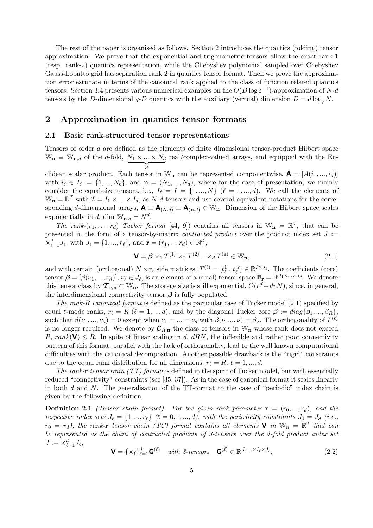The rest of the paper is organised as follows. Section 2 introduces the quantics (folding) tensor approximation. We prove that the exponential and trigonometric tensors allow the exact rank-1 (resp. rank-2) quantics representation, while the Chebyshev polynomial sampled over Chebyshev Gauss-Lobatto grid has separation rank 2 in quantics tensor format. Then we prove the approximation error estimate in terms of the canonical rank applied to the class of function related quantics tensors. Section 3.4 presents various numerical examples on the  $O(D \log \varepsilon^{-1})$ -approximation of N-d tensors by the D-dimensional  $q$ -D quantics with the auxiliary (vertual) dimension  $D = d \log_a N$ .

## 2 Approximation in quantics tensor formats

#### 2.1 Basic rank-structured tensor representations

Tensors of order d are defined as the elements of finite dimensional tensor-product Hilbert space  $\mathbb{W}_{\mathbf{n}} \equiv \mathbb{W}_{\mathbf{n},d}$  of the *d*-fold,  $\underline{N_1 \times ... \times N_d}$  $\overline{a}$ d real/complex-valued arrays, and equipped with the Euclidean scalar product. Each tensor in  $\mathbb{W}_n$  can be represented componentwise,  $\mathbf{A} = [A(i_1, ..., i_d)]$ 

with  $i_{\ell} \in I_{\ell} := \{1, ..., N_{\ell}\}\$ , and  $\mathbf{n} = (N_1, ..., N_d)$ , where for the ease of presentation, we mainly consider the equal-size tensors, i.e.,  $I_{\ell} = I = \{1, ..., N\}$  ( $\ell = 1, ..., d$ ). We call the elements of  $\mathbb{W}_{n} = \mathbb{R}^{\mathcal{I}}$  with  $\mathcal{I} = I_1 \times ... \times I_d$ , as *N*-*d* tensors and use ceveral equivalent notations for the corresponding d-dimensional arrays,  $\mathbf{A} \equiv \mathbf{A}_{(N,d)} \equiv \mathbf{A}_{(n,d)} \in \mathbb{W}_{n}$ . Dimension of the Hilbert space scales exponentially in d, dim  $\mathbb{W}_{n,d} = N^d$ .

The rank- $(r_1,\ldots,r_d)$  Tucker format [44, 9]) contains all tensors in  $\mathbb{W}_n = \mathbb{R}^{\mathcal{I}}$ , that can be presented in the form of a tensor-by-matrix *contracted product* over the product index set  $J :=$  $\times_{\ell=1}^{d} J_{\ell}$ , with  $J_{\ell} = \{1, ..., r_{\ell}\}$ , and  $\mathbf{r} = (r_1, ..., r_d) \in \mathbb{N}_+^d$ ,

$$
\mathbf{V} = \boldsymbol{\beta} \times_1 T^{(1)} \times_2 T^{(2)} \dots \times_d T^{(d)} \in \mathbb{W}_{n},\tag{2.1}
$$

and with certain (orthogonal)  $N \times r_{\ell}$  side matrices,  $T^{(\ell)} = [t_{\ell}^1 ... t_{\ell}^{r_{\ell}}] \in \mathbb{R}^{I \times J_{\ell}}$ . The coefficients (core) tensor  $\boldsymbol{\beta} = [\beta(\nu_1, ..., \nu_d)], \nu_\ell \in J_\ell$ , is an element of a (dual) tensor space  $\mathbb{B}_r = \mathbb{R}^{J_1 \times ... \times J_d}$ . We denote this tensor class by  $\mathcal{T}_{\mathbf{r},\mathbf{n}} \subset \mathbb{W}_{\mathbf{n}}$ . The storage size is still exponential,  $O(r^d + drN)$ , since, in general, the interdimensional connectivity tensor  $\beta$  is fully populated.

The rank-R canonical format is defined as the particular case of Tucker model  $(2.1)$  specified by equal  $\ell$ -mode ranks,  $r_{\ell} = R$  ( $\ell = 1, ..., d$ ), and by the diagonal Tucker core  $\beta := diag\{\beta_1, ..., \beta_R\},\$ such that  $\beta(\nu_1, ..., \nu_d) = 0$  except when  $\nu_1 = ... = \nu_d$  with  $\beta(\nu, ..., \nu) = \beta_{\nu}$ . The orthogonality of  $T^{(\ell)}$ is no longer required. We denote by  $\mathcal{C}_{R,n}$  the class of tensors in  $\mathbb{W}_n$  whose rank does not exceed R, rank( $V \leq R$ . In spite of linear scaling in d, dRN, the inflexible and rather poor connectivity pattern of this format, parallel with the lack of orthogonality, lead to the well known computational difficulties with the canonical decomposition. Another possible drawback is the "rigid" constraints due to the equal rank distribution for all dimensions,  $r_{\ell} = R, \ell = 1, ..., d$ .

The rank-r tensor train  $(TT)$  format is defined in the spirit of Tucker model, but with essentially reduced "connectivity" constraints (see [35, 37]). As in the case of canonical format it scales linearly in both  $d$  and  $N$ . The generalisation of the TT-format to the case of "periodic" index chain is given by the following definition.

**Definition 2.1** (Tensor chain format). For the given rank parameter  $\mathbf{r} = (r_0, ..., r_d)$ , and the respective index sets  $J_{\ell} = \{1, ..., r_{\ell}\}$  ( $\ell = 0, 1, ..., d$ ), with the periodicity constraints  $J_0 = J_d$  (i.e.,  $r_0 = r_d$ ), the rank-r tensor chain (TC) format contains all elements **V** in  $\mathbb{W}_n = \mathbb{R}^T$  that can be represented as the chain of contracted products of 3-tensors over the d-fold product index set  $J := \times_{\ell=1}^d J_\ell,$ 

$$
\mathbf{V} = \{ \times_{\ell} \}_{\ell=1}^d \mathbf{G}^{(\ell)} \quad \text{with } \text{3-tensors} \quad \mathbf{G}^{(\ell)} \in \mathbb{R}^{J_{\ell-1} \times I_{\ell} \times J_{\ell}}, \tag{2.2}
$$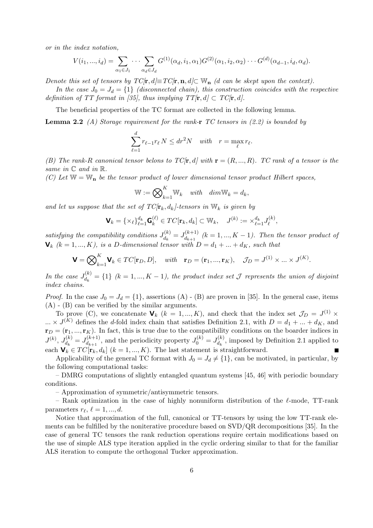or in the index notation,

$$
V(i_1,...,i_d) = \sum_{\alpha_1 \in J_1} \cdots \sum_{\alpha_d \in J_d} G^{(1)}(\alpha_d, i_1, \alpha_1) G^{(2)}(\alpha_1, i_2, \alpha_2) \cdots G^{(d)}(\alpha_{d-1}, i_d, \alpha_d).
$$

Denote this set of tensors by  $TC[\mathbf{r}, d] \equiv TC[\mathbf{r}, \mathbf{n}, d] \subset \mathbb{W}_{\mathbf{n}}$  (d can be skept upon the context).

In the case  $J_0 = J_d = \{1\}$  (disconnected chain), this construction coincides with the respective definition of TT format in [35], thus implying  $TT[\mathbf{r}, d] \subset TC[\mathbf{r}, d]$ .

The beneficial properties of the TC format are collected in the following lemma.

**Lemma 2.2** (A) Storage requirement for the rank-r TC tensors in  $(2.2)$  is bounded by

$$
\sum_{\ell=1}^d r_{\ell-1} r_{\ell} N \le dr^2 N \quad with \quad r = \max_{\ell} r_{\ell}.
$$

(B) The rank-R canonical tensor belons to  $TC[\mathbf{r}, d]$  with  $\mathbf{r} = (R, ..., R)$ . TC rank of a tensor is the same in  $\mathbb C$  and in  $\mathbb R$ .

(C) Let  $\mathbb{W} = \mathbb{W}_{n}$  be the tensor product of lower dimensional tensor product Hilbert spaces,

$$
\mathbb{W} := \bigotimes_{k=1}^K \mathbb{W}_k \quad with \quad dim \mathbb{W}_k = d_k,
$$

and let us suppose that the set of  $TC/r_k, d_k$ -tensors in  $W_k$  is given by

$$
\mathbf{V}_k = \{ \times_\ell \}_{\ell=1}^{d_k} \mathbf{G}_k^{(\ell)} \in TC[\mathbf{r}_k, d_k] \subset \mathbb{W}_k, \quad J^{(k)} := \times_{\ell=1}^{d_k} J_\ell^{(k)},
$$

satisfying the compatibility conditions  $J_{d}^{(k)}$  $d_k^{(k)} = J_{d_{k+1}}^{(k+1)}$  $\begin{array}{c} d_{k+1}^{(k+1)} \ (k = 1, ..., K - 1)$ . Then the tensor product of  $\mathbf{V}_k$  (k = 1, ..., K), is a D-dimensional tensor with  $D = d_1 + ... + d_K$ , such that

$$
\mathbf{V} = \bigotimes_{k=1}^{K} \mathbf{V}_k \in TC[\mathbf{r}_D, D], \quad with \quad \mathbf{r}_D = (\mathbf{r}_1, ..., \mathbf{r}_K), \quad \mathcal{J}_D = J^{(1)} \times ... \times J^{(K)}.
$$

In the case  $J_{d_1}^{(k)}$  $d_k^{(k)} = \{1\}$   $(k = 1, ..., K - 1)$ , the product index set  $\mathcal J$  represents the union of disjoint index chains.

*Proof.* In the case  $J_0 = J_d = \{1\}$ , assertions (A) - (B) are proven in [35]. In the general case, items (A) - (B) can be verified by the similar arguments.

To prove (C), we concatenate  $\mathbf{V}_k$   $(k = 1, ..., K)$ , and check that the index set  $\mathcal{J}_D = J^{(1)} \times$  $\ldots \times J^{(K)}$  defines the d-fold index chain that satisfies Definition 2.1, with  $D = d_1 + \ldots + d_K$ , and  $\mathbf{r}_D = (\mathbf{r}_1, ..., \mathbf{r}_K)$ . In fact, this is true due to the compatibility conditions on the boarder indices in  $J^{(k)},\,J^{(k)}_{d_k}$  $d_k^{(k)} = J_{d_{k+1}}^{(k+1)}$  $d_{d_{k+1}}^{(k+1)}$ , and the periodicity property  $J_0^{(k)} = J_{d_k}^{(k)}$  $d_k^{(k)}$ , imposed by Definition 2.1 applied to each  $\mathbf{V}_k \in TC[\mathbf{r}_k, d_k]$   $(k = 1, ..., K)$ . The last statement is straightforward.

Applicability of the general TC format with  $J_0 = J_d \neq \{1\}$ , can be motivated, in particular, by the following computational tasks:

– DMRG computations of slightly entangled quantum systems [45, 46] with periodic boundary conditions.

– Approximation of symmetric/antisymmetric tensors.

– Rank optimization in the case of highly nonuniform distribution of the  $\ell$ -mode, TT-rank parameters  $r_{\ell}, \ell = 1, ..., d$ .

Notice that approximation of the full, canonical or TT-tensors by using the low TT-rank elements can be fulfilled by the noniterative procedure based on SVD/QR decompositions [35]. In the case of general TC tensors the rank reduction operations require certain modifications based on the use of simple ALS type iteration applied in the cyclic ordering similar to that for the familiar ALS iteration to compute the orthogonal Tucker approximation.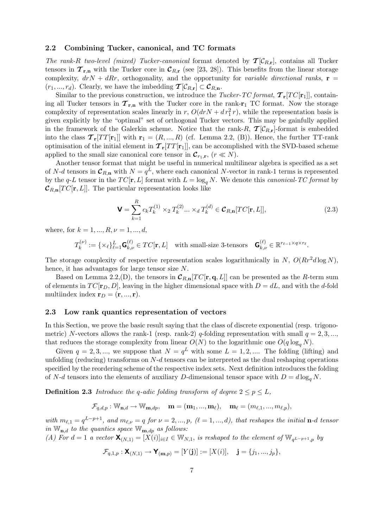#### 2.2 Combining Tucker, canonical, and TC formats

The rank-R two-level (mixed) Tucker-canonical format denoted by  $T[\mathcal{C}_{R,\mathbf{r}}]$ , contains all Tucker tensors in  $\mathcal{T}_{\mathbf{r},\mathbf{n}}$  with the Tucker core in  $\mathcal{C}_{R,\mathbf{r}}$  (see [23, 28]). This benefits from the linear storage complexity,  $drN + dRr$ , orthogonality, and the opportunity for variable directional ranks,  $\mathbf{r} =$  $(r_1, ..., r_d)$ . Clearly, we have the imbedding  $\mathcal{T}[\mathcal{C}_{R,r}] \subset \mathcal{C}_{R,n}$ .

Similar to the previous construction, we introduce the Tucker-TC format,  $T_r[TC[r_1]]$ , containing all Tucker tensors in  $\tau_{r,n}$  with the Tucker core in the rank-r<sub>1</sub> TC format. Now the storage complexity of representation scales linearly in r,  $O(drN + dr_1^2r)$ , while the representation basis is given explicitly by the "optimal" set of orthogonal Tucker vectors. This may be gainfully applied in the framework of the Galerkin scheme. Notice that the rank-R,  $\tau[\mathcal{C}_{R,r}]$ -format is embedded into the class  $\mathcal{T}_r[TT[r_1]]$  with  $r_1 = (R, ..., R)$  (cf. Lemma 2.2, (B)). Hence, the further TT-rank optimisation of the initial element in  $\mathcal{T}_r[TT[r_1]]$ , can be accomplished with the SVD-based scheme applied to the small size canonical core tensor in  $\mathcal{C}_{r_1,r}$ ,  $(r \ll N)$ .

Another tensor format that might be useful in numerical multilinear algebra is specified as a set of N-d tensors in  $\mathcal{C}_{R,n}$  with  $N = q^L$ , where each canonical N-vector in rank-1 terms is represented by the q-L tensor in the  $TC[\mathbf{r}, L]$  format with  $L = \log_q N$ . We denote this canonical-TC format by  $\mathcal{C}_{R,n}[TC[\mathbf{r}, L]]$ . The particular representation looks like

$$
\mathbf{V} = \sum_{k=1}^{R} c_k T_k^{(1)} \times_2 T_k^{(2)} \dots \times_d T_k^{(d)} \in \mathcal{C}_{R,n}[TC[\mathbf{r}, L]],
$$
\n(2.3)

where, for  $k = 1, ..., R, \nu = 1, ..., d$ ,

$$
T_k^{(\nu)} := \{ \times_{\ell} \}_{\ell=1}^L \mathbf{G}_{k,\nu}^{(\ell)} \in TC[\mathbf{r}, L] \quad \text{with small-size 3-tensors} \quad \mathbf{G}_{k,\nu}^{(\ell)} \in \mathbb{R}^{r_{\ell-1} \times q \times r_{\ell}}.
$$

The storage complexity of respective representation scales logarithmically in N,  $O(Rr^2d \log N)$ , hence, it has advantages for large tensor size N.

Based on Lemma 2.2, (D), the tensors in  $\mathcal{C}_{R,n}[TC[\mathbf{r}, \mathbf{q}, L]]$  can be presented as the R-term sum of elements in  $TC[\mathbf{r}_D, D]$ , leaving in the higher dimensional space with  $D = dL$ , and with the d-fold multiindex index  $\mathbf{r}_D = (\mathbf{r},...,\mathbf{r}).$ 

#### 2.3 Low rank quantics representation of vectors

In this Section, we prove the basic result saying that the class of discrete exponential (resp. trigonometric) N-vectors allows the rank-1 (resp. rank-2) q-folding representation with small  $q = 2, 3, ...$ , that reduces the storage complexity from linear  $O(N)$  to the logarithmic one  $O(q \log_a N)$ .

Given  $q = 2, 3, \dots$ , we suppose that  $N = q^L$  with some  $L = 1, 2, \dots$  The folding (lifting) and unfolding (reducing) transforms on  $N-d$  tensors can be interpreted as the dual reshaping operations specified by the reordering scheme of the respective index sets. Next definition introduces the folding of N-d tensors into the elements of auxiliary D-dimensional tensor space with  $D = d \log_a N$ .

**Definition 2.3** Introduce the q-adic folding transform of degree  $2 \le p \le L$ ,

$$
\mathcal{F}_{q,d,p}:\mathbb{W}_{\mathbf{n},d}\rightarrow\mathbb{W}_{\mathbf{m},dp},\quad \mathbf{m}=(\mathbf{m}_1,...,\mathbf{m}_{\ell}),\quad \mathbf{m}_{\ell}=(m_{\ell,1},...,m_{\ell,p}),
$$

with  $m_{\ell,1} = q^{L-p+1}$ , and  $m_{\ell,\nu} = q$  for  $\nu = 2, ..., p$ ,  $(\ell = 1, ..., d)$ , that reshapes the initial **n**-d tensor in  $\mathbb{W}_{\mathbf{n},d}$  to the quantics space  $\mathbb{W}_{\mathbf{m},dp}$  as follows:

(A) For  $d = 1$  a vector  $\mathbf{X}_{(N,1)} = [X(i)]_{i \in I} \in \mathbb{W}_{N,1}$ , is reshaped to the element of  $\mathbb{W}_{q^{L-p+1},p}$  by

$$
\mathcal{F}_{q,1,p}: \mathbf{X}_{(N,1)} \rightarrow \mathbf{Y}_{(\mathbf{m},p)} = [Y(\mathbf{j})]:=[X(i)], \quad \mathbf{j}=\{j_1,...,j_p\},\
$$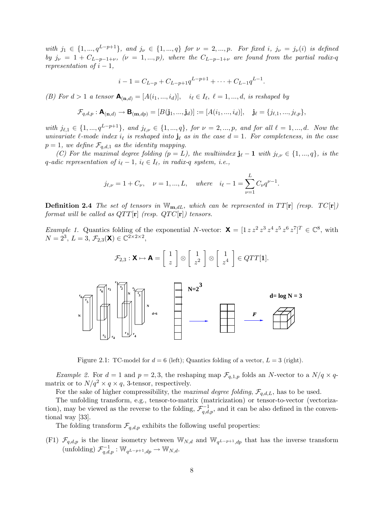with  $j_1 \in \{1, ..., q^{L-p+1}\}$ , and  $j_{\nu} \in \{1, ..., q\}$  for  $\nu = 2, ..., p$ . For fixed i,  $j_{\nu} = j_{\nu}(i)$  is defined by  $j_{\nu} = 1 + C_{L-p-1+\nu}, \; (\nu = 1, ..., p)$ , where the  $C_{L-p-1+\nu}$  are found from the partial radix-q representation of  $i-1$ ,

$$
i-1 = C_{L-p} + C_{L-p+1}q^{L-p+1} + \dots + C_{L-1}q^{L-1}.
$$

(B) For  $d > 1$  a tensor  $\mathbf{A}_{(\mathbf{n},d)} = [A(i_1, ..., i_d)], \quad i_\ell \in I_\ell, \; \ell = 1, ..., d,$  is reshaped by

$$
\mathcal{F}_{q,d,p} : \mathbf{A}_{(\mathbf{n},d)} \to \mathbf{B}_{(\mathbf{m},dp)} = [B(\mathbf{j}_1,...,\mathbf{j}_d)] := [A(i_1,...,i_d)], \quad \mathbf{j}_{\ell} = \{j_{\ell,1},...,j_{\ell,p}\},
$$

with  $j_{\ell,1} \in \{1, ..., q^{L-p+1}\}$ , and  $j_{\ell,\nu} \in \{1, ..., q\}$ , for  $\nu = 2, ..., p$ , and for all  $\ell = 1, ..., d$ . Now the univariate  $\ell$ -mode index  $i_{\ell}$  is reshaped into  $\mathbf{j}_{\ell}$  as in the case  $d=1$ . For completeness, in the case  $p = 1$ , we define  $\mathcal{F}_{q,d,1}$  as the identity mapping.

(C) For the maximal degree folding  $(p = L)$ , the multiindex  $\mathbf{j}_{\ell} - \mathbf{1}$  with  $j_{\ell, \nu} \in \{1, ..., q\}$ , is the q-adic representation of  $i_{\ell} - 1$ ,  $i_{\ell} \in I_{\ell}$ , in radix-q system, i.e.,

$$
j_{\ell,\nu} = 1 + C_{\nu}, \quad \nu = 1, ..., L, \quad where \quad i_{\ell} - 1 = \sum_{\nu=1}^{L} C_{\nu} q^{\nu-1}.
$$

**Definition 2.4** The set of tensors in  $W_{m,dL}$ , which can be represented in  $TT[r]$  (resp.  $TC[r]$ ) format will be called as  $QTT[\mathbf{r}]$  (resp.  $QTC[\mathbf{r}]$ ) tensors.

*Example 1.* Quantics folding of the exponential N-vector:  $\mathbf{X} = \begin{bmatrix} 1 & z & z^2 & z^3 & z^4 & z^5 & z^6 & z^7 \end{bmatrix}^T \in \mathbb{C}^8$ , with  $N = 2^3$ ,  $L = 3$ ,  $\mathcal{F}_{2,3}(\mathbf{X}) \in \mathbb{C}^{2 \times 2 \times 2}$ ,

$$
\mathcal{F}_{2,3}: \mathbf{X} \mapsto \mathbf{A} = \left[ \begin{array}{c} 1 \\ z \end{array} \right] \otimes \left[ \begin{array}{c} 1 \\ z^2 \end{array} \right] \otimes \left[ \begin{array}{c} 1 \\ z^4 \end{array} \right] \in QTT[\mathbf{1}].
$$



Figure 2.1: TC-model for  $d = 6$  (left); Quantics folding of a vector,  $L = 3$  (right).

*Example 2.* For  $d = 1$  and  $p = 2, 3$ , the reshaping map  $\mathcal{F}_{q,1,p}$  folds an N-vector to a  $N/q \times q$ matrix or to  $N/q^2 \times q \times q$ , 3-tensor, respectively.

For the sake of higher compressibility, the maximal degree folding,  $\mathcal{F}_{q,d,L}$ , has to be used.

The unfolding transform, e.g., tensor-to-matrix (matricization) or tensor-to-vector (vectorization), may be viewed as the reverse to the folding,  $\mathcal{F}_{q,d,p}^{-1}$ , and it can be also defined in the conventional way [33].

The folding transform  $\mathcal{F}_{q,d,p}$  exhibits the following useful properties:

(F1)  $\mathcal{F}_{q,d,p}$  is the linear isometry between  $\mathbb{W}_{N,d}$  and  $\mathbb{W}_{q^{L-p+1},dp}$  that has the inverse transform (unfolding)  $\mathcal{F}_{q,d,p}^{-1} : \mathbb{W}_{q^{L-p+1},dp} \to \mathbb{W}_{N,d}.$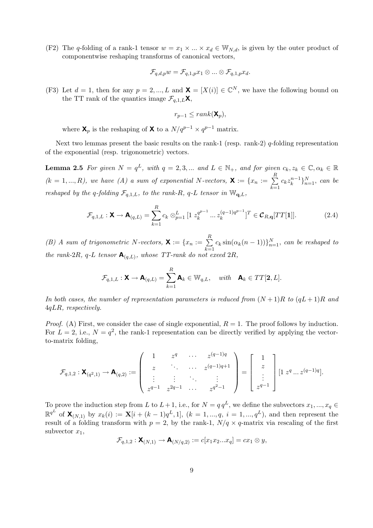(F2) The q-folding of a rank-1 tensor  $w = x_1 \times ... \times x_d \in W_{N,d}$ , is given by the outer product of componentwise reshaping transforms of canonical vectors,

$$
\mathcal{F}_{q,d,p}w=\mathcal{F}_{q,1,p}x_1\otimes...\otimes \mathcal{F}_{q,1,p}x_d.
$$

(F3) Let  $d = 1$ , then for any  $p = 2, ..., L$  and  $\mathbf{X} = [X(i)] \in \mathbb{C}^N$ , we have the following bound on the TT rank of the quantics image  $\mathcal{F}_{q,1,L}$ **X**,

$$
r_{p-1}\leq rank(\mathbf{X}_p),
$$

where  $\mathbf{X}_p$  is the reshaping of **X** to a  $N/q^{p-1} \times q^{p-1}$  matrix.

Next two lemmas present the basic results on the rank-1 (resp. rank-2)  $q$ -folding representation of the exponential (resp. trigonometric) vectors.

**Lemma 2.5** For given  $N = q^L$ , with  $q = 2, 3, ...$  and  $L \in \mathbb{N}_+$ , and for given  $c_k, z_k \in \mathbb{C}, \alpha_k \in \mathbb{R}$  $(k = 1, ..., R)$ , we have  $(A)$  a sum of exponential N-vectors,  $\mathbf{X} := \{x_n := \sum_{i=1}^R x_i\}$  $_{k=1}$  $c_k z_k^{n-1}\}_{n=1}^N$ , can be reshaped by the q-folding  $\mathcal{F}_{q,1,L}$ , to the rank-R, q-L tensor in  $\mathbb{W}_{q,L}$ ,

$$
\mathcal{F}_{q,1,L}: \mathbf{X} \to \mathbf{A}_{(q,L)} = \sum_{k=1}^{R} c_k \otimes_{p=1}^{L} [1 \ z_k^{q^{p-1}} \dots z_k^{(q-1)q^{p-1}}]^T \in \mathcal{C}_{R,q}[TT[1]].
$$
\n(2.4)

(B) A sum of trigonometric N-vectors,  $\mathbf{X} := \{x_n := \sum_{n=1}^R x_n\}$  $\sum_{k=1} c_k \sin(\alpha_k(n-1))\}_{n=1}^N$ , can be reshaped to the rank-2R, q-L tensor  $\mathbf{A}_{(q,L)}$ , whose TT-rank do not exeed 2R,

$$
\mathcal{F}_{q,1,L}: \mathbf{X} \to \mathbf{A}_{(q,L)} = \sum_{k=1}^R \mathbf{A}_k \in \mathbb{W}_{q,L}, \quad with \quad \mathbf{A}_k \in TT[\mathbf{2}, L].
$$

In both cases, the number of representation parameters is reduced from  $(N+1)R$  to  $(aL+1)R$  and 4qLR, respectively.

*Proof.* (A) First, we consider the case of single exponential,  $R = 1$ . The proof follows by induction. For  $L = 2$ , i.e.,  $N = q^2$ , the rank-1 representation can be directly verified by applying the vectorto-matrix folding,

$$
\mathcal{F}_{q,1,2}: \mathbf{X}_{(q^2,1)} \to \mathbf{A}_{(q,2)} := \begin{pmatrix} 1 & z^q & \cdots & z^{(q-1)q} \\ z & \ddots & \cdots & z^{(q-1)q+1} \\ \vdots & \vdots & \ddots & \vdots \\ z^{q-1} & z^{2q-1} & \cdots & z^{q^2-1} \end{pmatrix} = \begin{bmatrix} 1 \\ z \\ \vdots \\ z^{q-1} \end{bmatrix} [1 \ z^q \dots z^{(q-1)q}].
$$

To prove the induction step from L to  $L+1$ , i.e., for  $N = q q^L$ , we define the subvectors  $x_1, ..., x_q \in$  $\mathbb{R}^{q^L}$  of  $\mathbf{X}_{(N,1)}$  by  $x_k(i) := \mathbf{X}[i + (k-1)q^L, 1], (k = 1, ..., q, i = 1, ..., q^L)$ , and then represent the result of a folding transform with  $p = 2$ , by the rank-1,  $N/q \times q$ -matrix via rescaling of the first subvector  $x_1$ ,

$$
\mathcal{F}_{q,1,2}: \mathsf{X}_{(N,1)} \to \mathsf{A}_{(N/q,2)}:=c[x_1x_2...x_q]=cx_1\otimes y,
$$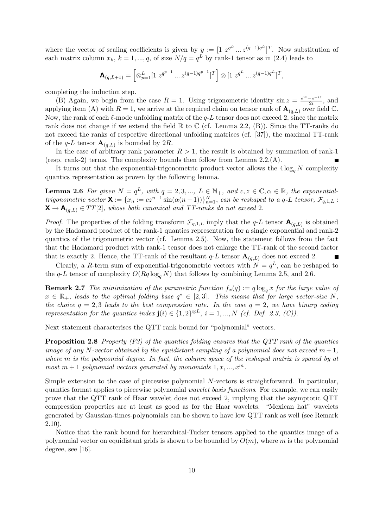where the vector of scaling coefficients is given by  $y := \left[1 \ z^{q^L} \dots z^{(q-1)q^L}\right]^T$ . Now substitution of each matrix column  $x_k$ ,  $k = 1, ..., q$ , of size  $N/q = q^L$  by rank-1 tensor as in (2.4) leads to

$$
\mathbf{A}_{(q,L+1)} = \left[ \otimes_{p=1}^{L} [1 \ z^{q^{p-1}} \dots z^{(q-1)q^{p-1}}]^T \right] \otimes [1 \ z^{q^L} \dots z^{(q-1)q^L}]^T,
$$

completing the induction step.

(B) Again, we begin from the case  $R = 1$ . Using trigonometric identity  $\sin z = \frac{e^{iz} - e^{-iz}}{2i}$ , and applying item (A) with  $R = 1$ , we arrive at the required claim on tensor rank of  $\mathbf{A}_{(q,L)}$  over field  $\mathbb{C}$ . Now, the rank of each  $\ell$ -mode unfolding matrix of the  $q$ -L tensor does not exceed 2, since the matrix rank does not change if we extend the field  $\mathbb R$  to  $\mathbb C$  (cf. Lemma 2.2, (B)). Since the TT-ranks do not exceed the ranks of respective directional unfolding matrices (cf. [37]), the maximal TT-rank of the  $q$ -L tensor  $\mathbf{A}_{(q,L)}$  is bounded by 2R.

In the case of arbitrary rank parameter  $R > 1$ , the result is obtained by summation of rank-1 (resp. rank-2) terms. The complexity bounds then follow from Lemma  $2.2(A)$ .

It turns out that the exponential-trigonometric product vector allows the  $4\log_a N$  complexity quantics representation as proven by the following lemma.

**Lemma 2.6** For given  $N = q^L$ , with  $q = 2, 3, ..., L \in \mathbb{N}_+$ , and  $c, z \in \mathbb{C}, \alpha \in \mathbb{R}$ , the exponentialtrigonometric vector  $\mathbf{X} := \{x_n := cz^{n-1} \sin(\alpha(n-1))\}_{n=1}^N$ , can be reshaped to a q-L tensor,  $\mathcal{F}_{q,1,L}$ :  $\mathbf{X} \to \mathbf{A}_{(q,L)} \in TT[2]$ , whose both canonical and TT-ranks do not exceed 2.

*Proof.* The properties of the folding transform  $\mathcal{F}_{q,1,L}$  imply that the  $q$ -L tensor  $\mathbf{A}_{(q,L)}$  is obtained by the Hadamard product of the rank-1 quantics representation for a single exponential and rank-2 quantics of the trigonometric vector (cf. Lemma  $2.5$ ). Now, the statement follows from the fact that the Hadamard product with rank-1 tensor does not enlarge the TT-rank of the second factor that is exactly 2. Hence, the TT-rank of the resultant  $q-L$  tensor  $\mathbf{A}_{(q,L)}$  does not exceed 2.

Clearly, a R-term sum of exponential-trigonometric vectors with  $N = q^L$ , can be reshaped to the q-L tensor of complexity  $O(Rq \log_a N)$  that follows by combining Lemma 2.5, and 2.6.

**Remark 2.7** The minimization of the parametric function  $f_x(q) := q \log_q x$  for the large value of  $x \in \mathbb{R}_+$ , leads to the optimal folding base  $q^* \in [2,3]$ . This means that for large vector-size N, the choice  $q = 2, 3$  leads to the best compression rate. In the case  $q = 2$ , we have binary coding representation for the quantics index  $\mathbf{j}(i) \in \{1,2\}^{\otimes L}, i = 1, ..., N$  (cf. Def. 2.3, (C)).

Next statement characterises the QTT rank bound for "polynomial" vectors.

**Proposition 2.8** Property  $(F3)$  of the quantics folding ensures that the QTT rank of the quantics image of any N-vector obtained by the equidistant sampling of a polynomial does not exceed  $m+1$ , where m is the polynomial degree. In fact, the column space of the reshaped matrix is spaned by at most  $m + 1$  polynomial vectors generated by monomials  $1, x, ..., x<sup>m</sup>$ .

Simple extension to the case of piecewise polynomial N-vectors is straightforward. In particular, quantics format applies to piecewise polynomial wavelet basis functions. For example, we can easily prove that the QTT rank of Haar wavelet does not exceed 2, implying that the asymptotic QTT compression properties are at least as good as for the Haar wavelets. "Mexican hat" wavelets generated by Gaussian-times-polynomials can be shown to have low QTT rank as well (see Remark 2.10).

Notice that the rank bound for hierarchical-Tucker tensors applied to the quantics image of a polynomial vector on equidistant grids is shown to be bounded by  $O(m)$ , where m is the polynomial degree, see [16].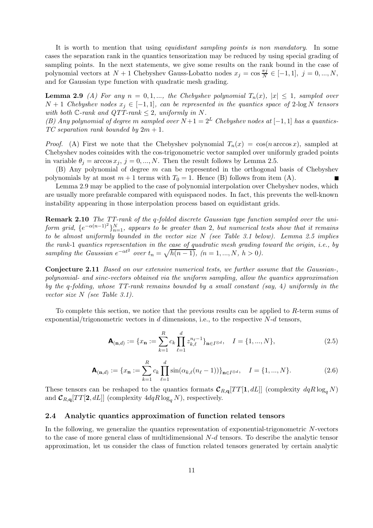It is worth to mention that using *equidistant sampling points is non mandatory*. In some cases the separation rank in the quantics tensorization may be reduced by using special grading of sampling points. In the next statements, we give some results on the rank bound in the case of polynomial vectors at  $N+1$  Chebyshev Gauss-Lobatto nodes  $x_j = \cos \frac{\pi j}{N}$  $\frac{\pi j}{N} \in [-1, 1], j = 0, ..., N,$ and for Gaussian type function with quadratic mesh grading.

**Lemma 2.9** (A) For any  $n = 0, 1, \dots$ , the Chebyshev polynomial  $T_n(x)$ ,  $|x| \leq 1$ , sampled over  $N + 1$  Chebyshev nodes  $x_j \in [-1, 1]$ , can be represented in the quantics space of 2-log N tensors with both  $\mathbb{C}$ -rank and  $QTT$ -rank  $\leq 2$ , uniformly in N.

(B) Any polynomial of degree m sampled over  $N+1=2^L$  Chebyshev nodes at  $[-1,1]$  has a quantics-TC separation rank bounded by  $2m + 1$ .

*Proof.* (A) First we note that the Chebyshev polynomial  $T_n(x) = \cos(n \arccos x)$ , sampled at Chebyshev nodes coinsides with the cos-trigonometric vector sampled over uniformly graded points in variable  $\theta_j = \arccos x_j$ ,  $j = 0, ..., N$ . Then the result follows by Lemma 2.5.

 $(B)$  Any polynomial of degree m can be represented in the orthogonal basis of Chebyshev polynomials by at most  $m + 1$  terms with  $T_0 = 1$ . Hence (B) follows from item (A).

Lemma 2.9 may be applied to the case of polynomial interpolation over Chebyshev nodes, which are usually more prefarable compared with equispaced nodes. In fact, this prevents the well-known instability appearing in those interpolation process based on equidistant grids.

Remark 2.10 The TT-rank of the q-folded discrete Gaussian type function sampled over the uniform grid,  $\{e^{-\alpha(n-1)^2}\}_{n=1}^N$ , appears to be greater than 2, but numerical tests show that it remains to be almost uniformly bounded in the vector size  $N$  (see Table 3.1 below). Lemma 2.5 implies the rank-1 quantics representation in the case of quadratic mesh grading toward the origin, i.e., by sampling the Gaussian  $e^{-\alpha t^2}$  over  $t_n = \sqrt{h(n-1)}$ ,  $(n = 1, ..., N, h > 0)$ .

Conjecture 2.11 Based on our extensive numerical tests, we further assume that the Gaussian-, polynomial- and sinc-vectors obtained via the uniform sampling, allow the quantics approximation by the q-folding, whose TT-rank remains bounded by a small constant (say, 4) uniformly in the vector size N (see Table 3.1).

To complete this section, we notice that the previous results can be applied to R-term sums of exponential/trigonometric vectors in  $d$  dimensions, i.e., to the respective  $N-d$  tensors,

$$
\mathbf{A}_{(\mathbf{n},d)} := \{x_{\mathbf{n}} := \sum_{k=1}^{R} c_k \prod_{\ell=1}^{d} z_{k,\ell}^{n_{\ell}-1} \}_{\mathbf{n} \in I^{\otimes d}}, \quad I = \{1, ..., N\},
$$
\n(2.5)

$$
\mathbf{A}_{(\mathbf{n},d)} := \{x_{\mathbf{n}} := \sum_{k=1}^{R} c_k \prod_{\ell=1}^{d} \sin(\alpha_{k,\ell}(n_{\ell}-1))\}_{\mathbf{n} \in I^{\otimes d}}, \quad I = \{1, ..., N\}.
$$
 (2.6)

These tensors can be reshaped to the quantics formats  $\mathcal{C}_{R,\mathbf{q}}[TT[1, dL]]$  (complexity  $dqR\log_q N$ ) and  $\mathcal{C}_{R,\mathbf{q}}[TT[\mathbf{2},dL]]$  (complexity  $4dqR\log_q N$ ), respectively.

## 2.4 Analytic quantics approximation of function related tensors

In the following, we generalize the quantics representation of exponential-trigonometric N-vectors to the case of more general class of multidimensional N-d tensors. To describe the analytic tensor approximation, let us consider the class of function related tensors generated by certain analytic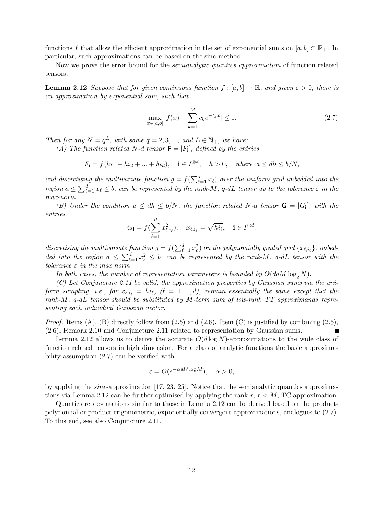functions f that allow the efficient approximation in the set of exponential sums on  $[a, b] \subset \mathbb{R}_+$ . In particular, such approximations can be based on the sinc method.

Now we prove the error bound for the *semianalytic quantics approximation* of function related tensors.

**Lemma 2.12** Suppose that for given continuous function  $f : [a, b] \to \mathbb{R}$ , and given  $\varepsilon > 0$ , there is an approximation by exponential sum, such that

$$
\max_{x \in [a,b]} |f(x) - \sum_{k=1}^{M} c_k e^{-t_k x}| \le \varepsilon.
$$
 (2.7)

Then for any  $N = q^L$ , with some  $q = 2, 3, ...,$  and  $L \in \mathbb{N}_+$ , we have:

(A) The function related N-d tensor  $\mathbf{F} = [F_i]$ , defined by the entries

 $F_{\mathbf{i}} = f(hi_1 + hi_2 + \dots + hi_d), \quad \mathbf{i} \in I^{\otimes d}, \quad h > 0, \quad where \ a \leq dh \leq b/N,$ 

and discretising the multivariate function  $g = f(\sum_{\ell=1}^d x_\ell)$  over the uniform grid imbedded into the region  $a \leq \sum_{\ell=1}^d x_\ell \leq b$ , can be represented by the rank-M, q-dL tensor up to the tolerance  $\varepsilon$  in the max-norm.

(B) Under the condition  $a \le dh \le b/N$ , the function related N-d tensor  $\mathbf{G} = [G_i]$ , with the entries

$$
G_{\mathbf{i}} = f(\sum_{\ell=1}^{d} x_{\ell, i_{\ell}}^2), \quad x_{\ell, i_{\ell}} = \sqrt{hi_{\ell}}, \quad \mathbf{i} \in I^{\otimes d},
$$

discretising the multivariate function  $g = f(\sum_{\ell=1}^d x_\ell^2)$  on the polynomially graded grid  $\{x_{\ell,i_\ell}\}\$ , imbedded into the region  $a \leq \sum_{\ell=1}^d x_\ell^2 \leq b$ , can be represented by the rank-M, q-dL tensor with the tolerance  $\varepsilon$  in the max-norm.

In both cases, the number of representation parameters is bounded by  $O(dqM \log_a N)$ .

(C) Let Conjuncture 2.11 be valid, the approximation properties by Gaussian sums via the uni- ${\it form \ sampling}, \ {\it i.e.}, \ {\it for} \ x_{\ell, i_\ell} \ = \ {\it hi}_\ell, \ (\ell \ = \ 1,...,d), \ {\it remain \ essentially \ the \ same \ except \ that \ the}$ rank-M, q-dL tensor should be substituted by M-term sum of low-rank TT approximands representing each individual Gaussian vector.

*Proof.* Items  $(A)$ ,  $(B)$  directly follow from  $(2.5)$  and  $(2.6)$ . Item  $(C)$  is justified by combining  $(2.5)$ , (2.6), Remark 2.10 and Conjuncture 2.11 related to representation by Gaussian sums.

Lemma 2.12 allows us to derive the accurate  $O(d \log N)$ -approximations to the wide class of function related tensors in high dimension. For a class of analytic functions the basic approximability assumption (2.7) can be verified with

$$
\varepsilon = O(e^{-\alpha M/\log M}), \quad \alpha > 0,
$$

by applying the sinc-approximation [17, 23, 25]. Notice that the semianalytic quantics approximations via Lemma 2.12 can be further optimised by applying the rank-r,  $r < M$ , TC approximation.

Quantics representations similar to those in Lemma 2.12 can be derived based on the productpolynomial or product-trigonometric, exponentially convergent approximations, analogues to (2.7). To this end, see also Conjuncture 2.11.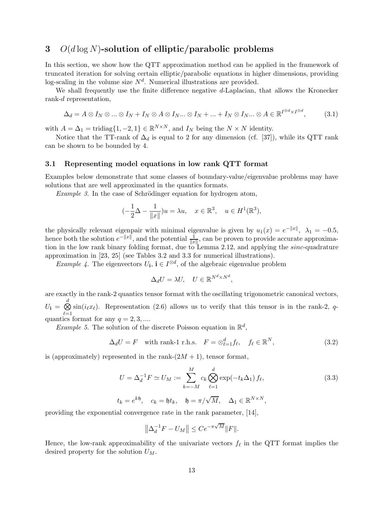## 3  $O(d \log N)$ -solution of elliptic/parabolic problems

In this section, we show how the QTT approximation method can be applied in the framework of truncated iteration for solving certain elliptic/parabolic equations in higher dimensions, providing log-scaling in the volume size  $N<sup>d</sup>$ . Numerical illustrations are provided.

We shall frequently use the finite difference negative d-Laplacian, that allows the Kronecker rank-d representation,

$$
\Delta_d = A \otimes I_N \otimes \dots \otimes I_N + I_N \otimes A \otimes I_N \dots \otimes I_N + \dots + I_N \otimes I_N \dots \otimes A \in \mathbb{R}^{I \otimes d \times I \otimes d},\tag{3.1}
$$

 $\overline{a}$ d×I

with  $A = \Delta_1 = \text{tridiag}\{1, -2, 1\} \in \mathbb{R}^{N \times N}$ , and  $I_N$  being the  $N \times N$  identity.

Notice that the TT-rank of  $\Delta_d$  is equal to 2 for any dimension (cf. [37]), while its QTT rank can be shown to be bounded by 4.

#### 3.1 Representing model equations in low rank QTT format

Examples below demonstrate that some classes of boundary-value/eigenvalue problems may have solutions that are well approximated in the quantics formats.

Example 3. In the case of Schrödinger equation for hydrogen atom,

$$
(-\frac{1}{2}\Delta - \frac{1}{\|x\|})u = \lambda u, \quad x \in \mathbb{R}^3, \quad u \in H^1(\mathbb{R}^3),
$$

the physically relevant eigenpair with minimal eigenvalue is given by  $u_1(x) = e^{-\|x\|}$ ,  $\lambda_1 = -0.5$ , hence both the solution  $e^{-\|x\|}$ , and the potential  $\frac{1}{\|x\|}$ , can be proven to provide accurate approximation in the low rank binary folding format, due to Lemma 2.12, and applying the *sinc*-quadrature approximation in [23, 25] (see Tables 3.2 and 3.3 for numerical illustrations).

Example 4. The eigenvectors  $U_{\mathbf{i}}$ ,  $\mathbf{i} \in I^{\otimes d}$ , of the algebraic eigenvalue problem

$$
\Delta_d U = \lambda U, \quad U \in \mathbb{R}^{N^d \times N^d}
$$

are exactly in the rank-2 quantics tensor format with the oscillating trigonometric canonical vectors,  $U_{\bf i} = \stackrel{d}{\bigotimes}$  $\ell = 1$  $\sin(i_{\ell}x_{\ell})$ . Representation (2.6) allows us to verify that this tensor is in the rank-2, qquantics format for any  $q = 2, 3, \dots$ 

*Example 5.* The solution of the discrete Poisson equation in  $\mathbb{R}^d$ ,

$$
\Delta_d U = F \quad \text{with rank-1 r.h.s.} \quad F = \otimes_{\ell=1}^d f_\ell, \quad f_\ell \in \mathbb{R}^N, \tag{3.2}
$$

,

is (approximately) represented in the rank- $(2M + 1)$ , tensor format,

$$
U = \Delta_d^{-1} F \simeq U_M := \sum_{k=-M}^{M} c_k \bigotimes_{\ell=1}^d \exp(-t_k \Delta_1) f_\ell,
$$
  
\n
$$
t_k = e^{k\mathfrak{h}}, \quad c_k = \mathfrak{h} t_k, \quad \mathfrak{h} = \pi/\sqrt{M}, \quad \Delta_1 \in \mathbb{R}^{N \times N},
$$
\n(3.3)

providing the exponential convergence rate in the rank parameter, [14],

$$
\left\|\Delta_d^{-1}F - U_M\right\| \le Ce^{-\pi\sqrt{M}}\|F\|.
$$

Hence, the low-rank approximability of the univariate vectors  $f_{\ell}$  in the QTT format implies the desired property for the solution  $U_M$ .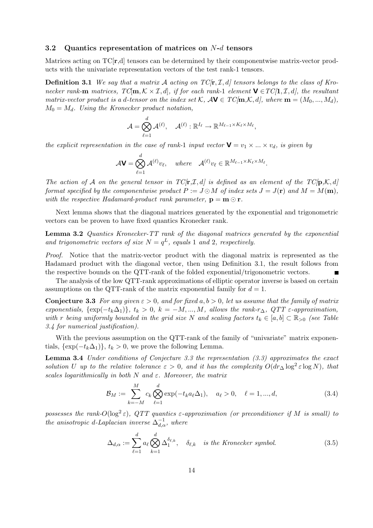#### 3.2 Quantics representation of matrices on N-d tensors

Matrices acting on  $TC[r,d]$  tensors can be determined by their componentwise matrix-vector products with the univariate representation vectors of the test rank-1 tensors.

**Definition 3.1** We say that a matrix A acting on  $TC[\mathbf{r}, I, d]$  tensors belongs to the class of Kronecker rank-m matrices,  $T\mathbb{C}[m,\mathcal{K}\times\mathcal{I},d]$ , if for each rank-1 element  $\mathbf{V}\in TC(1,\mathcal{I},d]$ , the resultant matrix-vector product is a d-tensor on the index set K,  $A$ **V**  $\in$  TC/m, K, d, where  $\mathbf{m} = (M_0, ..., M_d)$ ,  $M_0 = M_d$ . Using the Kronecker product notation,

$$
\mathcal{A} = \bigotimes_{\ell=1}^d \mathcal{A}^{(\ell)}, \quad \mathcal{A}^{(\ell)}: \mathbb{R}^{I_\ell} \rightarrow \mathbb{R}^{M_{\ell-1} \times K_\ell \times M_\ell},
$$

the explicit representation in the case of rank-1 input vector  $\mathbf{V} = v_1 \times ... \times v_d$ , is given by

$$
\mathcal{A}\mathbf{V} = \bigotimes_{\ell=1}^d \mathcal{A}^{(\ell)} v_{\ell}, \quad where \quad \mathcal{A}^{(\ell)} v_{\ell} \in \mathbb{R}^{M_{\ell-1} \times K_{\ell} \times M_{\ell}}.
$$

The action of A on the general tensor in  $TC[r,\mathcal{I},d]$  is defined as an element of the  $TC[p,\mathcal{K},d]$ format specified by the componentwise product  $P := J \odot M$  of index sets  $J = J(\mathbf{r})$  and  $M = M(\mathbf{m})$ , with the respective Hadamard-product rank parameter,  $\mathbf{p} = \mathbf{m} \odot \mathbf{r}$ .

Next lemma shows that the diagonal matrices generated by the exponential and trigonometric vectors can be proven to have fixed quantics Kronecker rank.

Lemma 3.2 Quantics Kronecker-TT rank of the diagonal matrices generated by the exponential and trigonometric vectors of size  $N = q^L$ , equals 1 and 2, respectively.

Proof. Notice that the matrix-vector product with the diagonal matrix is represented as the Hadamard product with the diagonal vector, then using Definition 3.1, the result follows from the respective bounds on the QTT-rank of the folded exponential/trigonometric vectors.

The analysis of the low QTT-rank approximations of elliptic operator inverse is based on certain assumptions on the QTT-rank of the matrix exponential family for  $d = 1$ .

**Conjecture 3.3** For any given  $\varepsilon > 0$ , and for fixed  $a, b > 0$ , let us assume that the family of matrix exponentials,  $\{\exp(-t_k\Delta_1)\}, t_k > 0, k = -M, ..., M$ , allows the rank-r<sub>∆</sub>, QTT  $\varepsilon$ -approximation, with r being uniformly bounded in the grid size N and scaling factors  $t_k \in [a, b] \subset \mathbb{R}_{>0}$  (see Table 3.4 for numerical justification).

With the previous assumption on the QTT-rank of the family of "univariate" matrix exponentials,  $\{\exp(-t_k\Delta_1)\}, t_k > 0$ , we prove the following Lemma.

**Lemma 3.4** Under conditions of Conjecture 3.3 the representation  $(3.3)$  approximates the exact solution U up to the relative tolerance  $\varepsilon > 0$ , and it has the complexity  $O(dr_{\Delta}\log^2 \varepsilon \log N)$ , that scales logarithmically in both  $N$  and  $\varepsilon$ . Moreover, the matrix

$$
\mathcal{B}_M := \sum_{k=-M}^{M} c_k \bigotimes_{\ell=1}^d \exp(-t_k a_\ell \Delta_1), \quad a_\ell > 0, \quad \ell = 1, ..., d,
$$
\n(3.4)

possesses the rank- $O(\log^2 \varepsilon)$ , QTT quantics  $\varepsilon$ -approximation (or preconditioner if M is small) to the anisotropic d-Laplacian inverse  $\Delta^{-1}_{d,\alpha}$ , where

$$
\Delta_{d,\alpha} := \sum_{\ell=1}^d a_\ell \bigotimes_{k=1}^d \Delta_1^{\delta_{\ell,k}}, \quad \delta_{\ell,k} \quad \text{is the Kronecker symbol.} \tag{3.5}
$$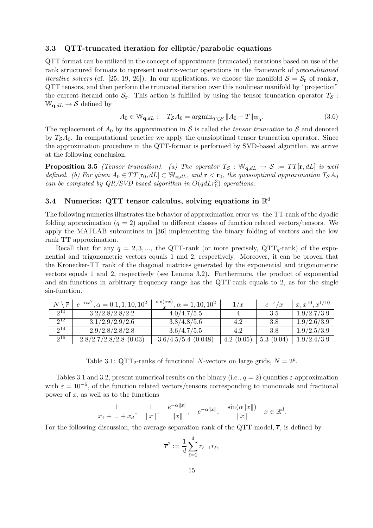#### 3.3 QTT-truncated iteration for elliptic/parabolic equations

QTT format can be utilized in the concept of approximate (truncated) iterations based on use of the rank structured formats to represent matrix-vector operations in the framework of preconditioned *iterative solvers* (cf. [25, 19, 26]). In our applications, we choose the manifold  $S = S_r$  of rank-r, QTT tensors, and then perform the truncated iteration over this nonlinear manifold by "projection" the current iterand onto  $S_r$ . This action is fulfilled by using the tensor truncation operator  $T_S$ :  $\mathbb{W}_{{\bf q},dL} \to {\mathcal S}$  defined by

$$
A_0 \in \mathbb{W}_{\mathbf{q},dL}: \quad T_{\mathcal{S}}A_0 = \operatorname{argmin}_{T \in \mathcal{S}} \|A_0 - T\|_{\mathbb{W}_{\mathbf{q}}}.
$$
\n(3.6)

The replacement of  $A_0$  by its approximation in S is called the *tensor truncation* to S and denoted by  $T<sub>S</sub>A<sub>0</sub>$ . In computational practice we apply the quasioptimal tensor truncation operator. Since the approximation procedure in the QTT-format is performed by SVD-based algorithm, we arrive at the following conclusion.

**Proposition 3.5** (Tensor truncation). (a) The operator  $T_S : \mathbb{W}_{q,dL} \to S := TT[\mathbf{r}, dL]$  is well defined. (b) For given  $A_0 \in TT[\mathbf{r}_0, dL] \subset \mathbb{W}_{\mathbf{a}, dL}$ , and  $\mathbf{r} < \mathbf{r}_0$ , the quasioptimal approximation  $T_{\mathcal{S}}A_0$ can be computed by  $QR/SVD$  based algorithm in  $O(qdLr_0^3)$  operations.

## 3.4 Numerics: QTT tensor calculus, solving equations in  $\mathbb{R}^d$

The following numerics illustrates the behavior of approximation error vs. the TT-rank of the dyadic folding approximation  $(q = 2)$  applied to different classes of function related vectors/tensors. We apply the MATLAB subroutines in [36] implementing the binary folding of vectors and the low rank TT approximation.

Recall that for any  $q = 2, 3, \dots$ , the QTT-rank (or more precisely, QTT<sub>q</sub>-rank) of the exponential and trigonometric vectors equals 1 and 2, respectively. Moreover, it can be proven that the Kronecker-TT rank of the diagonal matrices generated by the exponential and trigonometric vectors equals 1 and 2, respectively (see Lemma 3.2). Furthermore, the product of exponential and sin-functions in arbitrary frequency range has the QTT-rank equals to 2, as for the single sin-function.

|          | $e^{-\alpha x^2}$ , $\alpha = 0.1, 1, 10, 10^2$ | $\frac{\sin(\alpha x)}{\alpha}$ , $\alpha = 1, 10, 10^2$ | 1/x       | $e^{-x}/x$ | $x, x^{10}, x^{1/10}$ |
|----------|-------------------------------------------------|----------------------------------------------------------|-----------|------------|-----------------------|
| 210      | 3.2/2.8/2.8/2.2                                 | 4.0/4.7/5.5                                              |           | 3.5        | 1.9/2.7/3.9           |
| $2^{12}$ | 3.1/2.9/2.9/2.6                                 | 3.8/4.8/5.6                                              | 4.2       | 3.8        | 1.9/2.6/3.9           |
| $2^{14}$ | 2.9/2.8/2.8/2.8                                 | 3.6/4.7/5.5                                              | 4.2       | 3.8        | 1.9/2.5/3.9           |
| $2^{16}$ | $2.8/2.7/2.8/2.8$ (0.03)                        | $3.6/4.5/5.4$ (0.048)                                    | 4.2(0.05) | 5.3(0.04)  | 1.9/2.4/3.9           |

Table 3.1: QTT<sub>2</sub>-ranks of functional N-vectors on large grids,  $N = 2^p$ .

Tables 3.1 and 3.2, present numerical results on the binary (i.e.,  $q = 2$ ) quantics  $\varepsilon$ -approximation with  $\varepsilon = 10^{-6}$ , of the function related vectors/tensors corresponding to monomials and fractional power of  $x$ , as well as to the functions

$$
\frac{1}{x_1 + \dots + x_d}, \quad \frac{1}{\|x\|}, \quad \frac{e^{-\alpha \|x\|}}{\|x\|}, \quad e^{-\alpha \|x\|}, \quad \frac{\sin(\alpha \|x\|)}{\|x\|} \quad x \in \mathbb{R}^d.
$$

For the following discussion, the average separation rank of the QTT-model,  $\overline{r}$ , is defined by

$$
\overline{r}^2 := \frac{1}{d} \sum_{\ell=1}^d r_{\ell-1} r_{\ell},
$$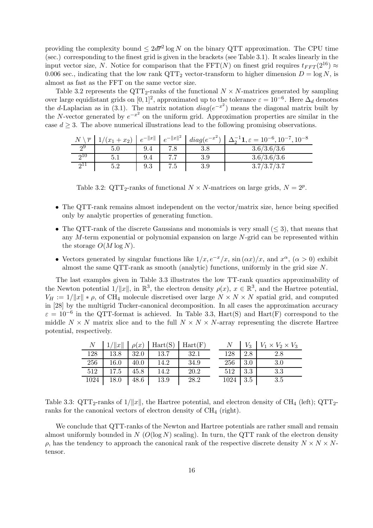providing the complexity bound  $\leq 2d\overline{r}^2 \log N$  on the binary QTT approximation. The CPU time (sec.) corresponding to the finest grid is given in the brackets (see Table 3.1). It scales linearly in the input vector size, N. Notice for comparison that the FFT(N) on finest grid requires  $t_{FFT}(2^{16}) \approx$ 0.006 sec., indicating that the low rank  $\mathrm{QTT}_2$  vector-transform to higher dimension  $D = \log N$ , is almost as fast as the FFT on the same vector size.

Table 3.2 represents the QTT<sub>2</sub>-ranks of the functional  $N \times N$ -matrices generated by sampling over large equidistant grids on  $[0, 1]^2$ , approximated up to the tolerance  $\varepsilon = 10^{-6}$ . Here  $\Delta_d$  denotes the d-Laplacian as in (3.1). The matrix notation  $diag(e^{-x^2})$  means the diagonal matrix built by the N-vector generated by  $e^{-x^2}$  on the uniform grid. Approximation properties are similar in the case  $d \geq 3$ . The above numerical illustrations lead to the following promising observations.

|     |     |     |     |     | $N \setminus \overline{r}$ $1/(x_1 + x_2)$ $\mid e^{-\ x\ } \mid e^{-\ x\ ^2}$ $\mid diag(e^{-x^2}) \mid \Delta_2^{-1}1, \varepsilon = 10^{-6}, 10^{-7}, 10^{-8}$ |
|-----|-----|-----|-----|-----|-------------------------------------------------------------------------------------------------------------------------------------------------------------------|
|     |     | 9.4 |     |     | 3.6/3.6/3.6                                                                                                                                                       |
| 210 | 5.1 | 9.4 |     | 3.9 | 3.6/3.6/3.6                                                                                                                                                       |
|     | 5.2 | 9.3 | 7.5 | 3.9 | 3.7/3.7/3.7                                                                                                                                                       |

Table 3.2: QTT<sub>2</sub>-ranks of functional  $N \times N$ -matrices on large grids,  $N = 2^p$ .

- The QTT-rank remains almost independent on the vector/matrix size, hence being specified only by analytic properties of generating function.
- The QTT-rank of the discrete Gaussians and monomials is very small  $(< 3)$ , that means that any  $M$ -term exponential or polynomial expansion on large  $N$ -grid can be represented within the storage  $O(M \log N)$ .
- Vectors generated by singular functions like  $1/x, e^{-x}/x$ ,  $\sin(\alpha x)/x$ , and  $x^{\alpha}$ ,  $(\alpha > 0)$  exhibit almost the same QTT-rank as smooth (analytic) functions, uniformly in the grid size N.

The last examples given in Table 3.3 illustrates the low TT-rank quantics approximability of the Newton potential  $1/\|x\|$ , in  $\mathbb{R}^3$ , the electron density  $\rho(x)$ ,  $x \in \mathbb{R}^3$ , and the Hartree potential,  $V_H := 1/||x|| * \rho$ , of CH<sub>4</sub> molecule discretised over large  $N \times N \times N$  spatial grid, and computed in [28] by the multigrid Tucker-canonical decomposition. In all cases the approximation accuracy  $\varepsilon = 10^{-6}$  in the QTT-format is achieved. In Table 3.3, Hart(S) and Hart(F) correspond to the middle  $N \times N$  matrix slice and to the full  $N \times N \times N$ -array representing the discrete Hartree potential, respectively.

|      |      |      | $N$   $1/\ x\ $   $\rho(x)$   Hart(S)   Hart(F) |       |                 |                   | $N$   $V_3$   $V_1 \times V_2 \times V_3$ |
|------|------|------|-------------------------------------------------|-------|-----------------|-------------------|-------------------------------------------|
| 128  | 13.8 | 32.0 | - 13.7                                          | -32.1 | 128             | 2.8               | 2.8                                       |
| 256  | 16.0 | 40.0 | 14.2                                            | 34.9  | 256             | $\vert 3.0 \vert$ | 3.0                                       |
| 512  | 17.5 | 45.8 | 14.2                                            | 20.2  | $512 \quad 3.3$ |                   | 3.3                                       |
| 1024 | 18.0 | 48.6 | 13.9                                            | 28.2  | 1024            | 3.5               | 3.5                                       |

Table 3.3:  $\text{QTT}_2$ -ranks of  $1/||x||$ , the Hartree potential, and electron density of CH<sub>4</sub> (left);  $\text{QTT}_2$ ranks for the canonical vectors of electron density of  $CH<sub>4</sub>$  (right).

We conclude that QTT-ranks of the Newton and Hartree potentials are rather small and remain almost uniformly bounded in  $N$  ( $O(\log N)$  scaling). In turn, the QTT rank of the electron density  $ρ$ , has the tendency to approach the canonical rank of the respective discrete density  $N \times N \times N$ tensor.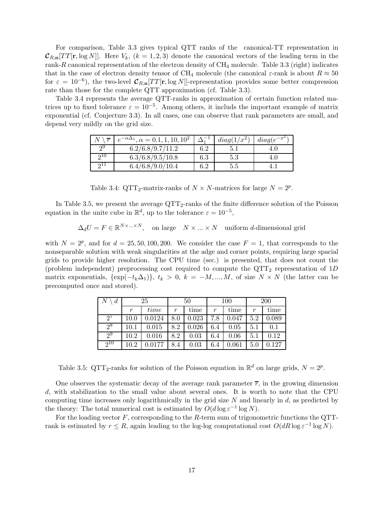For comparison, Table 3.3 gives typical QTT ranks of the canonical-TT representation in  $\mathcal{C}_{R,n}[TT[\mathbf{r},\log N]]$ . Here  $V_k$ ,  $(k = 1,2,3)$  denote the canonical vectors of the leading term in the rank-R canonical representation of the electron density of  $CH_4$  molecule. Table 3.3 (right) indicates that in the case of electron density tensor of CH<sub>4</sub> molecule (the canonical  $\varepsilon$ -rank is about  $R \approx 50$ for  $\varepsilon = 10^{-6}$ ), the two-level  $\mathcal{C}_{R,n}[TT[\mathbf{r},\log N]]$ -representation provides some better compression rate than those for the complete QTT approximation (cf. Table 3.3).

Table 3.4 represents the average QTT-ranks in approximation of certain function related matrices up to fixed tolerance  $\varepsilon = 10^{-5}$ . Among others, it includs the important example of matrix exponential (cf. Conjecture 3.3). In all cases, one can observe that rank parameters are small, and depend very mildly on the grid size.

| $\overline{r}$ | $e^{-\alpha \Delta_1}$ , $\alpha = 0.1$ , 1, 10, 10 <sup>2</sup> |     | $diag(1/x^2)$ | $diag(e^{-x})$ |
|----------------|------------------------------------------------------------------|-----|---------------|----------------|
| ച              | 6.2/6.8/9.7/11.2                                                 | 6.2 |               |                |
| ച∪             | 6.3/6.8/9.5/10.8                                                 | 6.3 | $5.3\,$       | 4.U            |
|                | 6.4/6.8/9.0/10.4                                                 | 6.2 | b.b           |                |

Table 3.4: QTT<sub>2</sub>-matrix-ranks of  $N \times N$ -matrices for large  $N = 2^p$ .

In Table 3.5, we present the average  $\mathrm{QTT}_2$ -ranks of the finite difference solution of the Poisson equation in the unite cube in  $\mathbb{R}^d$ , up to the tolerance  $\varepsilon = 10^{-5}$ ,

 $\Delta_d U = F \in \mathbb{R}^{N \times \dots \times N}$ , on large  $N \times \dots \times N$  uniform *d*-dimensional grid

with  $N = 2^p$ , and for  $d = 25, 50, 100, 200$ . We consider the case  $F = 1$ , that corresponds to the nonseparable solution with weak singularities at the adge and corner points, requiring large spacial grids to provide higher resolution. The CPU time (sec.) is presented, that does not count the (problem independent) preprocessing cost required to compute the  $\mathrm{QTT}_2$  representation of 1D matrix exponentials,  $\{\exp(-t_k\Delta_1)\}, t_k > 0, k = -M, ..., M$ , of size  $N \times N$  (the latter can be precomputed once and stored).

| $\boldsymbol{d}$ | 25       |        | 50  |       | 100 |       | 200 |       |
|------------------|----------|--------|-----|-------|-----|-------|-----|-------|
|                  | r        | time   | r   | time  | r   | time  | r   | time  |
| $2^t$            | 10.0     | 0.0124 | 8.0 | 0.023 | 7.8 | 0.047 | 5.2 | 0.089 |
| $2^8$            | 10.1     | 0.015  | 8.2 | 0.026 | 6.4 | 0.05  | 5.1 | 0.1   |
| $2^9$            | 10.2     | 0.016  | 8.2 | 0.03  | 6.4 | 0.06  | 5.1 | 0.12  |
| $2^{10}$         | $10.2\,$ | 0.0177 | 8.4 | 0.03  | 6.4 | 0.061 | 5.0 | 0.127 |

Table 3.5: QTT<sub>2</sub>-ranks for solution of the Poisson equation in  $\mathbb{R}^d$  on large grids,  $N = 2^p$ .

One observes the systematic decay of the average rank parameter  $\overline{r}$ , in the growing dimension d, with stabilization to the small value about several ones. It is worth to note that the CPU computing time increases only logarithmically in the grid size  $N$  and linearly in  $d$ , as predicted by the theory: The total numerical cost is estimated by  $O(d \log \varepsilon^{-1} \log N)$ .

For the loading vector  $F$ , corresponding to the  $R$ -term sum of trigonometric functions the QTTrank is estimated by  $r \leq R$ , again leading to the log-log computational cost  $O(dR \log \varepsilon^{-1} \log N)$ .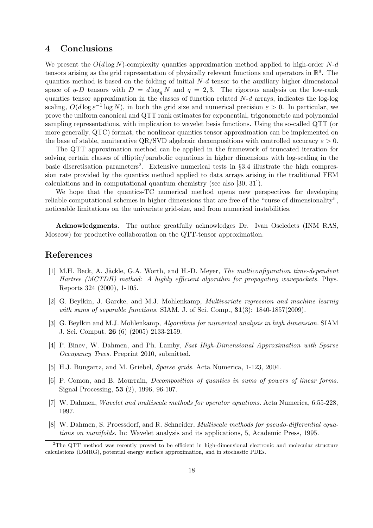## 4 Conclusions

We present the  $O(d \log N)$ -complexity quantics approximation method applied to high-order N-d tensors arising as the grid representation of physically relevant functions and operators in  $\mathbb{R}^d$ . The quantics method is based on the folding of initial  $N-d$  tensor to the auxiliary higher dimensional space of q-D tensors with  $D = d \log_q N$  and  $q = 2,3$ . The rigorous analysis on the low-rank quantics tensor approximation in the classes of function related  $N-d$  arrays, indicates the log-log scaling,  $O(d \log \varepsilon^{-1} \log N)$ , in both the grid size and numerical precision  $\varepsilon > 0$ . In particular, we prove the uniform canonical and QTT rank estimates for exponential, trigonometric and polynomial sampling representations, with implication to wavelet besis functions. Using the so-called QTT (or more generally, QTC) format, the nonlinear quantics tensor approximation can be implemented on the base of stable, noniterative QR/SVD algebraic decompositions with controlled accuracy  $\varepsilon > 0$ .

The QTT approximation method can be applied in the framework of truncated iteration for solving certain classes of elliptic/parabolic equations in higher dimensions with log-scaling in the basic discretisation parameters<sup>2</sup>. Extensive numerical tests in  $\S 3.4$  illustrate the high compression rate provided by the quantics method applied to data arrays arising in the traditional FEM calculations and in computational quantum chemistry (see also [30, 31]).

We hope that the quantics-TC numerical method opens new perspectives for developing reliable computational schemes in higher dimensions that are free of the "curse of dimensionality", noticeable limitations on the univariate grid-size, and from numerical instabilities.

Acknowledgments. The author greatfully acknowledges Dr. Ivan Oseledets (INM RAS, Moscow) for productive collaboration on the QTT-tensor approximation.

### References

- [1] M.H. Beck, A. Jäckle, G.A. Worth, and H.-D. Meyer, *The multiconfiguration time-dependent* Hartree (MCTDH) method: A highly efficient algorithm for propagating wavepackets. Phys. Reports 324 (2000), 1-105.
- [2] G. Beylkin, J. Garcke, and M.J. Mohlenkamp, Multivariate regression and machine learnig with sums of separable functions. SIAM. J. of Sci. Comp.,  $31(3)$ : 1840-1857(2009).
- [3] G. Beylkin and M.J. Mohlenkamp, Algorithms for numerical analysis in high dimension. SIAM J. Sci. Comput. 26 (6) (2005) 2133-2159.
- [4] P. Binev, W. Dahmen, and Ph. Lamby, Fast High-Dimensional Approximation with Sparse Occupancy Trees. Preprint 2010, submitted.
- [5] H.J. Bungartz, and M. Griebel, Sparse grids. Acta Numerica, 1-123, 2004.
- [6] P. Comon, and B. Mourrain, Decomposition of quantics in sums of powers of linear forms. Signal Processing, 53 (2), 1996, 96-107.
- [7] W. Dahmen, Wavelet and multiscale methods for operator equations. Acta Numerica, 6:55-228, 1997.
- [8] W. Dahmen, S. Proessdorf, and R. Schneider, Multiscale methods for pseudo-differential equations on manifolds. In: Wavelet analysis and its applications, 5, Academic Press, 1995.

<sup>&</sup>lt;sup>2</sup>The QTT method was recently proved to be efficient in high-dimensional electronic and molecular structure calculations (DMRG), potential energy surface approximation, and in stochastic PDEs.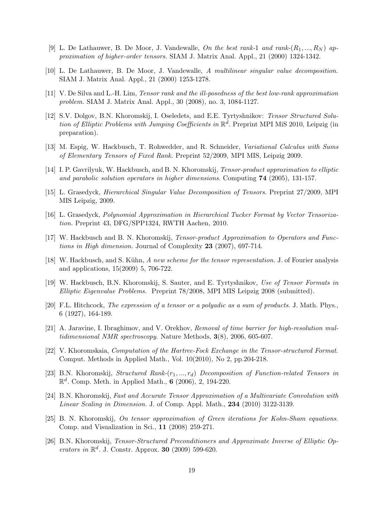- [9] L. De Lathauwer, B. De Moor, J. Vandewalle, On the best rank-1 and rank- $(R_1, ..., R_N)$  approximation of higher-order tensors. SIAM J. Matrix Anal. Appl., 21 (2000) 1324-1342.
- [10] L. De Lathauwer, B. De Moor, J. Vandewalle, A multilinear singular value decomposition. SIAM J. Matrix Anal. Appl., 21 (2000) 1253-1278.
- [11] V. De Silva and L.-H. Lim, Tensor rank and the ill-posedness of the best low-rank approximation problem. SIAM J. Matrix Anal. Appl., 30 (2008), no. 3, 1084-1127.
- [12] S.V. Dolgov, B.N. Khoromskij, I. Oseledets, and E.E. Tyrtyshnikov: Tensor Structured Solution of Elliptic Problems with Jumping Coefficients in  $\mathbb{R}^d$ . Preprint MPI MiS 2010, Leipzig (in preparation).
- [13] M. Espig, W. Hackbusch, T. Rohwedder, and R. Schneider, Variational Calculus with Sums of Elementary Tensors of Fixed Rank. Preprint 52/2009, MPI MIS, Leipzig 2009.
- [14] I. P. Gavrilyuk, W. Hackbusch, and B. N. Khoromskij, Tensor-product approximation to elliptic and parabolic solution operators in higher dimensions. Computing 74 (2005), 131-157.
- [15] L. Grasedyck, Hierarchical Singular Value Decomposition of Tensors. Preprint 27/2009, MPI MIS Leipzig, 2009.
- [16] L. Grasedyck, Polynomial Approximation in Hierarchical Tucker Format by Vector Tensorization. Preprint 43, DFG/SPP1324, RWTH Aachen, 2010.
- [17] W. Hackbusch and B. N. Khoromskij, Tensor-product Approximation to Operators and Functions in High dimension. Journal of Complexity 23 (2007), 697-714.
- [18] W. Hackbusch, and S. Kühn, A new scheme for the tensor representation. J. of Fourier analysis and applications, 15(2009) 5, 706-722.
- [19] W. Hackbusch, B.N. Khoromskij, S. Sauter, and E. Tyrtyshnikov, Use of Tensor Formats in Elliptic Eigenvalue Problems. Preprint 78/2008, MPI MIS Leipzig 2008 (submitted).
- [20] F.L. Hitchcock, The expression of a tensor or a polyadic as a sum of products. J. Math. Phys., 6 (1927), 164-189.
- [21] A. Jaravine, I. Ibraghimov, and V. Orekhov, Removal of time barrier for high-resolution multidimensional NMR spectroscopy. Nature Methods,  $3(8)$ , 2006, 605-607.
- [22] V. Khoromskaia, Computation of the Hartree-Fock Exchange in the Tensor-structured Format. Comput. Methods in Applied Math., Vol. 10(2010), No 2, pp.204-218.
- [23] B.N. Khoromskij, Structured Rank- $(r_1, ..., r_d)$  Decomposition of Function-related Tensors in  $\mathbb{R}^d$ . Comp. Meth. in Applied Math., 6 (2006), 2, 194-220.
- [24] B.N. Khoromskij, Fast and Accurate Tensor Approximation of a Multivariate Convolution with Linear Scaling in Dimension. J. of Comp. Appl. Math., 234 (2010) 3122-3139.
- [25] B. N. Khoromskij, On tensor approximation of Green iterations for Kohn-Sham equations. Comp. and Visualization in Sci., 11 (2008) 259-271.
- [26] B.N. Khoromskij, Tensor-Structured Preconditioners and Approximate Inverse of Elliptic Operators in  $\mathbb{R}^d$ . J. Constr. Approx. 30 (2009) 599-620.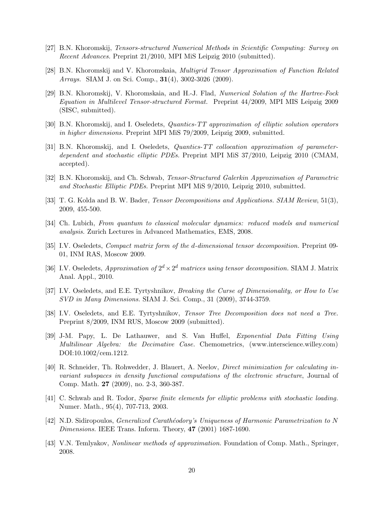- [27] B.N. Khoromskij, Tensors-structured Numerical Methods in Scientific Computing: Survey on Recent Advances. Preprint 21/2010, MPI MiS Leipzig 2010 (submitted).
- [28] B.N. Khoromskij and V. Khoromskaia, Multigrid Tensor Approximation of Function Related Arrays. SIAM J. on Sci. Comp., 31(4), 3002-3026 (2009).
- [29] B.N. Khoromskij, V. Khoromskaia, and H.-J. Flad, Numerical Solution of the Hartree-Fock Equation in Multilevel Tensor-structured Format. Preprint 44/2009, MPI MIS Leipzig 2009 (SISC, submitted).
- [30] B.N. Khoromskij, and I. Oseledets, Quantics-TT approximation of elliptic solution operators in higher dimensions. Preprint MPI MiS 79/2009, Leipzig 2009, submitted.
- [31] B.N. Khoromskij, and I. Oseledets, *Quantics-TT collocation approximation of parameter*dependent and stochastic elliptic PDEs. Preprint MPI MiS 37/2010, Leipzig 2010 (CMAM, accepted).
- [32] B.N. Khoromskij, and Ch. Schwab, Tensor-Structured Galerkin Approximation of Parametric and Stochastic Elliptic PDEs. Preprint MPI MiS 9/2010, Leipzig 2010, submitted.
- [33] T. G. Kolda and B. W. Bader, *Tensor Decompositions and Applications. SIAM Review*, 51(3), 2009, 455-500.
- [34] Ch. Lubich, From quantum to classical molecular dynamics: reduced models and numerical analysis. Zurich Lectures in Advanced Mathematics, EMS, 2008.
- [35] I.V. Oseledets, Compact matrix form of the d-dimensional tensor decomposition. Preprint 09- 01, INM RAS, Moscow 2009.
- [36] I.V. Oseledets, *Approximation of*  $2^d \times 2^d$  *matrices using tensor decomposition*. SIAM J. Matrix Anal. Appl., 2010.
- [37] I.V. Oseledets, and E.E. Tyrtyshnikov, *Breaking the Curse of Dimensionality, or How to Use* SVD in Many Dimensions. SIAM J. Sci. Comp., 31 (2009), 3744-3759.
- [38] I.V. Oseledets, and E.E. Tyrtyshnikov, *Tensor Tree Decomposition does not need a Tree.* Preprint 8/2009, INM RUS, Moscow 2009 (submitted).
- [39] J-M. Papy, L. De Lathauwer, and S. Van Huffel, Exponential Data Fitting Using Multilinear Algebra: the Decimative Case. Chemometrics, (www.interscience.willey.com) DOI:10.1002/cem.1212.
- [40] R. Schneider, Th. Rohwedder, J. Blauert, A. Neelov, Direct minimization for calculating invariant subspaces in density functional computations of the electronic structure, Journal of Comp. Math. 27 (2009), no. 2-3, 360-387.
- [41] C. Schwab and R. Todor, Sparse finite elements for elliptic problems with stochastic loading. Numer. Math., 95(4), 707-713, 2003.
- [42] N.D. Sidiropoulos, *Generalized Carathéodory's Uniqueness of Harmonic Parametrization to N* Dimensions. IEEE Trans. Inform. Theory, 47 (2001) 1687-1690.
- [43] V.N. Temlyakov, Nonlinear methods of approximation. Foundation of Comp. Math., Springer, 2008.